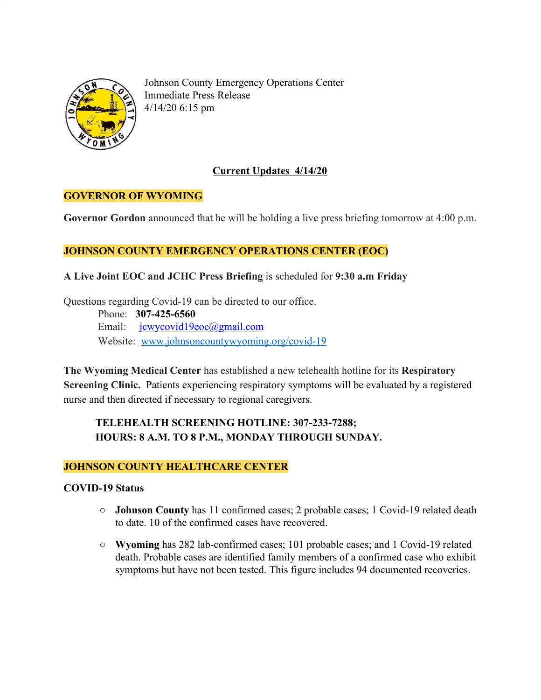

Johnson County Emergency Operations Center Immediate Press Release 4/14/20 6:15 pm

## **Current Updates 4/14/20**

## **GOVERNOR OF WYOMING**

**Governor Gordon** announced that he will be holding a live press briefing tomorrow at 4:00 p.m.

## **JOHNSON COUNTY EMERGENCY OPERATIONS CENTER (EOC)**

#### **A Live Joint EOC and JCHC Press Briefing** is scheduled for **9:30 a.m Friday**

Questions regarding Covid-19 can be directed to our office. Phone: **307-425-6560** Email: [jcwycovid19eoc@gmail.com](mailto:jcwycovid19eoc@gmail.com) Website: [www.johnsoncountywyoming.org/covid-19](http://www.johnsoncountywyoming.org/covid-19)

**The Wyoming Medical Center** has established a new telehealth hotline for its **Respiratory Screening Clinic.** Patients experiencing respiratory symptoms will be evaluated by a registered nurse and then directed if necessary to regional caregivers.

## **TELEHEALTH SCREENING HOTLINE: 307-233-7288; HOURS: 8 A.M. TO 8 P.M., MONDAY THROUGH SUNDAY.**

## **JOHNSON COUNTY HEALTHCARE CENTER**

#### **COVID-19 Status**

- **○ Johnson County** has 11 confirmed cases; 2 probable cases; 1 Covid-19 related death to date. 10 of the confirmed cases have recovered.
- **○ Wyoming** has 282 lab-confirmed cases; 101 probable cases; and 1 Covid-19 related death. Probable cases are identified family members of a confirmed case who exhibit symptoms but have not been tested. This figure includes 94 documented recoveries.